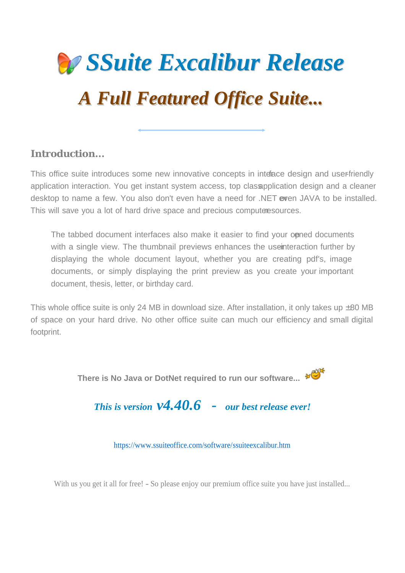

**Introduction...**

This office suite introduces some new innovative concepts in interace design and user-friendly application interaction. You get instant system access, top classapplication design and a cleaner desktop to name a few. You also don't even have a need for .NET even JAVA to be installed. This will save you a lot of hard drive space and precious computer esources.

The tabbed document interfaces also make it easier to find your opened documents with a single view. The thumbnail previews enhances the useinteraction further by displaying the whole document layout, whether you are creating pdf's, image documents, or simply displaying the print preview as you create your important document, thesis, letter, or birthday card.

This whole office suite is only 24 MB in download size. After installation, it only takes up  $\pm 80$  MB of space on your hard drive. No other office suite can much our efficiency and small digital footprint.

**There is No Java or DotNet required to run our software...**  $* \mathbb{S}^*$ 

*This is version v4.40.6 - our best release ever!*

https://www.ssuiteoffice.com/software/ssuiteexcalibur.htm

With us you get it all for free! - So please enjoy our premium office suite you have just installed...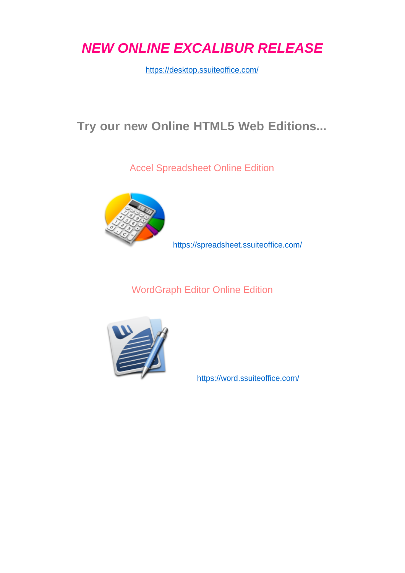*NEW ONLINE EXCALIBUR RELEASE*

https://desktop.ssuiteoffice.com/

### **Try our new Online HTML5 Web Editions...**

Accel Spreadsheet Online Edition



https://spreadsheet.ssuiteoffice.com/

WordGraph Editor Online Edition



https://word.ssuiteoffice.com/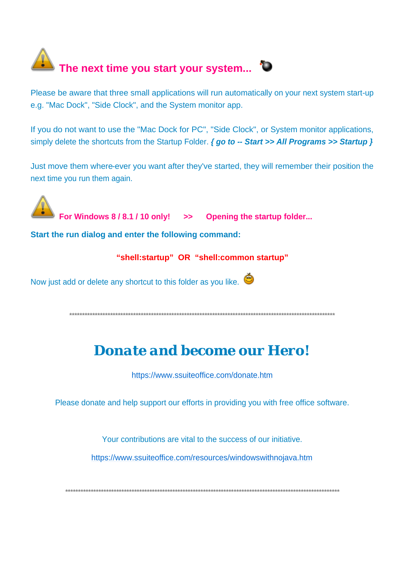# The next time you start your system... <sup>\*</sup>

Please be aware that three small applications will run automatically on your next system start-up e.g. "Mac Dock", "Side Clock", and the System monitor app.

If you do not want to use the "Mac Dock for PC", "Side Clock", or System monitor applications, simply delete the shortcuts from the Startup Folder.  $\{ go to - Start \}$  All Programs >> Startup  $\}$ 

Just move them where-ever you want after they've started, they will remember their position the next time you run them again.

For Windows 8/8.1/10 only! >> Opening the startup folder...

Start the run dialog and enter the following command:

#### "shell:startup" OR "shell:common startup"

Now just add or delete any shortcut to this folder as you like.

### Donate and become our Hero!

https://www.ssuiteoffice.com/donate.htm

Please donate and help support our efforts in providing you with free office software.

Your contributions are vital to the success of our initiative.

https://www.ssuiteoffice.com/resources/windowswithnojava.htm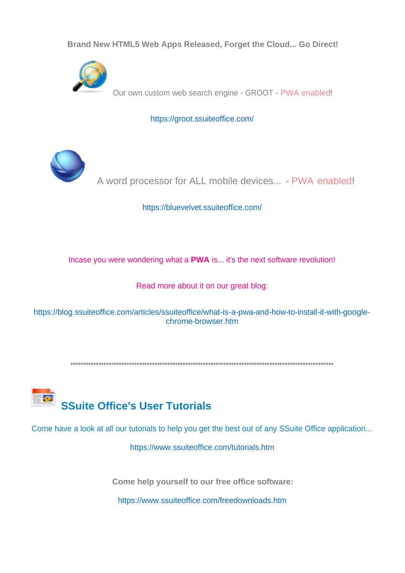Brand New HTML5 Web Apps Released, Forget the Cloud... Go Direct!



Our own custom web search engine - GROOT - PWA enabled!

https://groot.ssuiteoffice.com/



A word processor for ALL mobile devices... - PWA enabled!

https://bluevelvet.ssuiteoffice.com/

Incase you were wondering what a PWA is... it's the next software revolution!

Read more about it on our great blog:

https://blog.ssuiteoffice.com/articles/ssuiteoffice/what-is-a-pwa-and-how-to-install-it-with-googlechrome-browser.htm

**SSuite Office's User Tutorials** 

Come have a look at all our tutorials to help you get the best out of any SSuite Office application...

https://www.ssuiteoffice.com/tutorials.htm

Come help yourself to our free office software:

https://www.ssuiteoffice.com/freedownloads.htm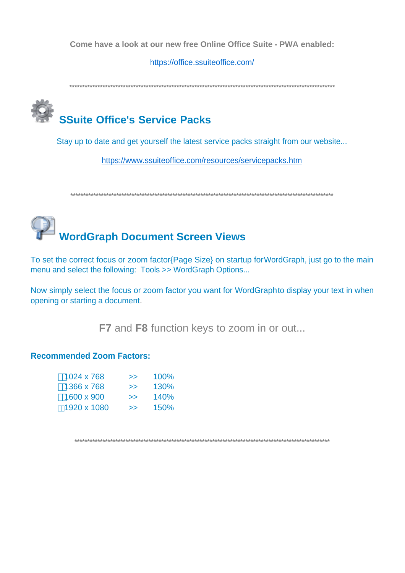Come have a look at our new free Online Office Suite - PWA enabled:

https://office.ssuiteoffice.com/

## **SSuite Office's Service Packs**

Stay up to date and get yourself the latest service packs straight from our website...

https://www.ssuiteoffice.com/resources/servicepacks.htm

# **WordGraph Document Screen Views**

To set the correct focus or zoom factor{Page Size} on startup for WordGraph, just go to the main menu and select the following: Tools >> WordGraph Options...

Now simply select the focus or zoom factor you want for WordGraphto display your text in when opening or starting a document.

F7 and F8 function keys to zoom in or out...

#### **Recommended Zoom Factors:**

| 1024 x 768  | >> | 100%        |
|-------------|----|-------------|
| 1366 x 768  | >> | 130%        |
| 1600 x 900  | >> | <b>140%</b> |
| 1920 x 1080 | >> | 150%        |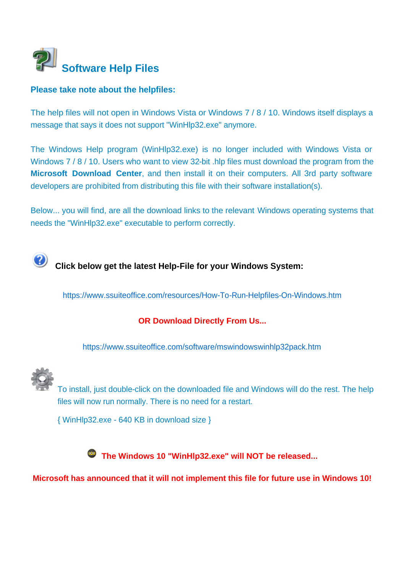

#### **Please take note about the helpfiles:**

The help files will not open in Windows Vista or Windows 7 / 8 / 10. Windows itself displays a message that says it does not support "WinHlp32.exe" anymore.

The Windows Help program (WinHlp32.exe) is no longer included with Windows Vista or Windows 7/8/10. Users who want to view 32-bit .hlp files must download the program from the **Microsoft Download Center**, and then install it on their computers. All 3rd party software developers are prohibited from distributing this file with their software installation(s).

Below... you will find, are all the download links to the relevant Windows operating systems that needs the "WinHlp32.exe" executable to perform correctly.

## **Click below get the latest Help-File for your Windows System:**

https://www.ssuiteoffice.com/resources/How-To-Run-Helpfiles-On-Windows.htm

#### **OR Download Directly From Us...**

https://www.ssuiteoffice.com/software/mswindowswinhlp32pack.htm



To install, just double-click on the downloaded file and Windows will do the rest. The help files will now run normally. There is no need for a restart.

{ WinHlp32.exe - 640 KB in download size }

 **The Windows 10 "WinHlp32.exe" will NOT be released...**

**Microsoft has announced that it will not implement this file for future use in Windows 10!**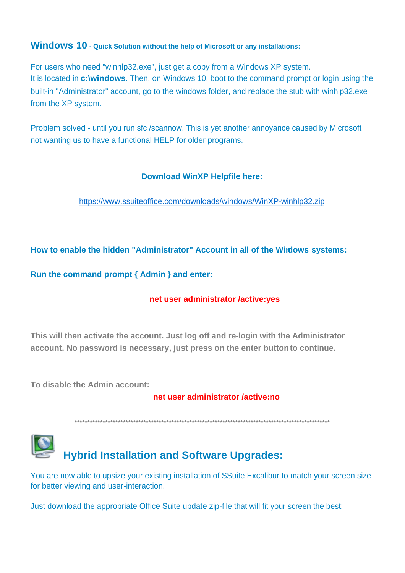#### **Windows 10 - Quick Solution without the help of Microsoft or any installations:**

For users who need "winhlp32.exe", just get a copy from a Windows XP system. It is located in **c:\windows**. Then, on Windows 10, boot to the command prompt or login using the built-in "Administrator" account, go to the windows folder, and replace the stub with winhlp32,exe from the XP system.

Problem solved - until you run sfc /scannow. This is yet another annoyance caused by Microsoft not wanting us to have a functional HELP for older programs.

#### **Download WinXP Helpfile here:**

https://www.ssuiteoffice.com/downloads/windows/WinXP-winhlp32.zip

How to enable the hidden "Administrator" Account in all of the Wirdows systems:

Run the command prompt { Admin } and enter:

#### net user administrator /active:yes

This will then activate the account. Just log off and re-login with the Administrator account. No password is necessary, just press on the enter button to continue.

To disable the Admin account:

#### net user administrator /active:no



You are now able to upsize your existing installation of SSuite Excalibur to match your screen size for better viewing and user-interaction.

Just download the appropriate Office Suite update zip-file that will fit your screen the best: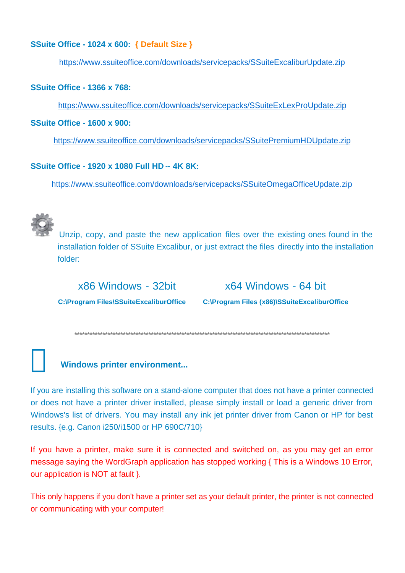#### SSuite Office - 1024 x 600: { Default Size }

https://www.ssuiteoffice.com/downloads/servicepacks/SSuiteExcaliburUpdate.zip

#### **SSuite Office - 1366 x 768:**

https://www.ssuiteoffice.com/downloads/servicepacks/SSuiteExLexProUpdate.zip

#### **SSuite Office - 1600 x 900:**

https://www.ssuiteoffice.com/downloads/servicepacks/SSuitePremiumHDUpdate.zip

#### **SSuite Office - 1920 x 1080 Full HD -- 4K 8K:**

https://www.ssuiteoffice.com/downloads/servicepacks/SSuiteOmegaOfficeUpdate.zip



Unzip, copy, and paste the new application files over the existing ones found in the installation folder of SSuite Excalibur, or just extract the files directly into the installation folder:

x86 Windows - 32bit

x64 Windows - 64 bit

C:\Program Files\SSuiteExcaliburOffice C:\Program Files (x86)\SSuiteExcaliburOffice

#### **Windows printer environment...**

If you are installing this software on a stand-alone computer that does not have a printer connected or does not have a printer driver installed, please simply install or load a generic driver from Windows's list of drivers. You may install any ink jet printer driver from Canon or HP for best results. {e.g. Canon i250/i1500 or HP 690C/710}

If you have a printer, make sure it is connected and switched on, as you may get an error message saying the WordGraph application has stopped working { This is a Windows 10 Error, our application is NOT at fault }.

This only happens if you don't have a printer set as your default printer, the printer is not connected or communicating with your computer!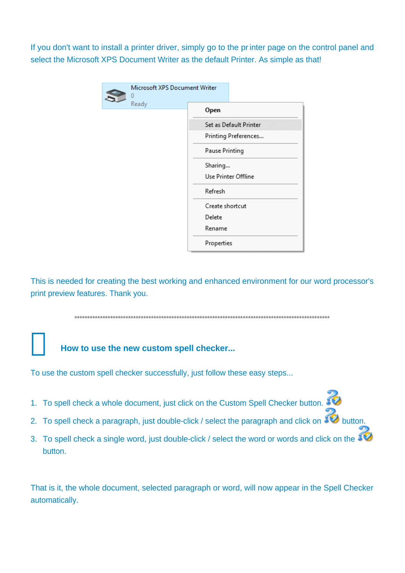If you don't want to install a printer driver, simply go to the printer page on the control panel and select the Microsoft XPS Document Writer as the default Printer. As simple as that!

|       | Microsoft XPS Document Writer |                        |
|-------|-------------------------------|------------------------|
| Ready |                               | Open                   |
|       |                               | Set as Default Printer |
|       |                               | Printing Preferences   |
|       |                               | Pause Printing         |
|       |                               | Sharing                |
|       | Use Printer Offline           |                        |
|       |                               | Refresh                |
|       |                               | Create shortcut        |
|       |                               | Delete                 |
|       |                               | Rename                 |
|       |                               | Properties             |

This is needed for creating the best working and enhanced environment for our word processor's print preview features. Thank you.

#### How to use the new custom spell checker...

To use the custom spell checker successfully, just follow these easy steps...

- 1. To spell check a whole document, just click on the Custom Spell Checker button.
- 2. To spell check a paragraph, just double-click / select the paragraph and click on  $\mathcal{L}$  button.
- 3. To spell check a single word, just double-click / select the word or words and click on the SO button.

That is it, the whole document, selected paragraph or word, will now appear in the Spell Checker automatically.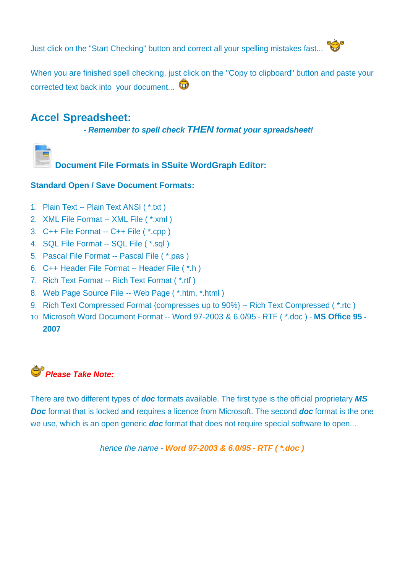Just click on the "Start Checking" button and correct all your spelling mistakes fast...



When you are finished spell checking, just click on the "Copy to clipboard" button and paste your corrected text back into your document...  $\mathbf \widehat{\mathbf \omega}$ 

#### **Accel Spreadsheet:**

 **-** *Remember to spell check THEN format your spreadsheet!*



**Document File Formats in SSuite WordGraph Editor:**

#### **Standard Open / Save Document Formats:**

- 1. Plain Text -- Plain Text ANSI ( \*.txt )
- 2. XML File Format -- XML File ( \*.xml )
- 3. C++ File Format -- C++ File ( \*.cpp )
- 4. SQL File Format -- SQL File ( \*.sql )
- 5. Pascal File Format -- Pascal File ( \*.pas )
- 6. C++ Header File Format -- Header File ( \*.h )
- 7. Rich Text Format -- Rich Text Format ( \*.rtf )
- 8. Web Page Source File -- Web Page ( \*.htm, \*.html )
- 9. Rich Text Compressed Format {compresses up to 90%} -- Rich Text Compressed ( \*.rtc )
- 10. Microsoft Word Document Format -- Word 97-2003 & 6.0/95 RTF ( \*.doc ) **MS Office 95 - 2007**



There are two different types of *doc* formats available. The first type is the official proprietary *MS Doc* format that is locked and requires a licence from Microsoft. The second *doc* format is the one we use, which is an open generic *doc* format that does not require special software to open...

*hence the name - Word 97-2003 & 6.0/95 - RTF ( \*.doc )*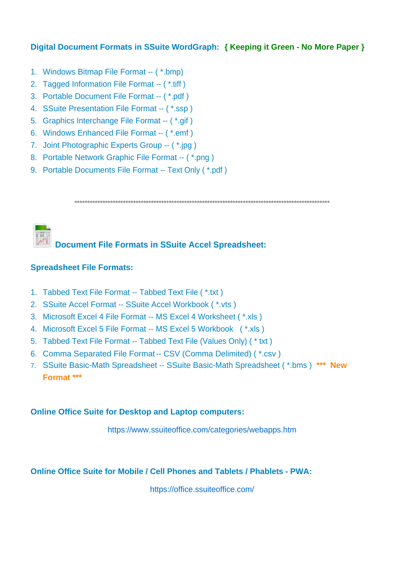#### Digital Document Formats in SSuite WordGraph: { Keeping it Green - No More Paper }

- 1. Windows Bitmap File Format -- (\*.bmp)
- 2. Tagged Information File Format -- (\*.tiff)
- 3. Portable Document File Format -- (\*.pdf)
- 4. SSuite Presentation File Format -- (\*.ssp)
- 5. Graphics Interchange File Format -- (\*.gif)
- 6. Windows Enhanced File Format -- (\*.emf)
- 7. Joint Photographic Experts Group -- (\*.jpg)
- 8. Portable Network Graphic File Format -- (\*.png)
- 9. Portable Documents File Format -- Text Only (\*.pdf)

## **Document File Formats in SSuite Accel Spreadsheet:**

#### **Spreadsheet File Formats:**

- 1. Tabbed Text File Format -- Tabbed Text File (\*.txt)
- 2. SSuite Accel Format -- SSuite Accel Workbook (\*.vts)
- 3. Microsoft Excel 4 File Format -- MS Excel 4 Worksheet (\*.xls)
- 4. Microsoft Excel 5 File Format -- MS Excel 5 Workbook (\*.xls)
- 5. Tabbed Text File Format -- Tabbed Text File (Values Only) (\* txt)
- 6. Comma Separated File Format -- CSV (Comma Delimited) (\*.csv)
- 7. SSuite Basic-Math Spreadsheet -- SSuite Basic-Math Spreadsheet (\*.bms) \*\*\* New Format \*\*\*

#### **Online Office Suite for Desktop and Laptop computers:**

https://www.ssuiteoffice.com/categories/webapps.htm

#### **Online Office Suite for Mobile / Cell Phones and Tablets / Phablets - PWA:**

https://office.ssuiteoffice.com/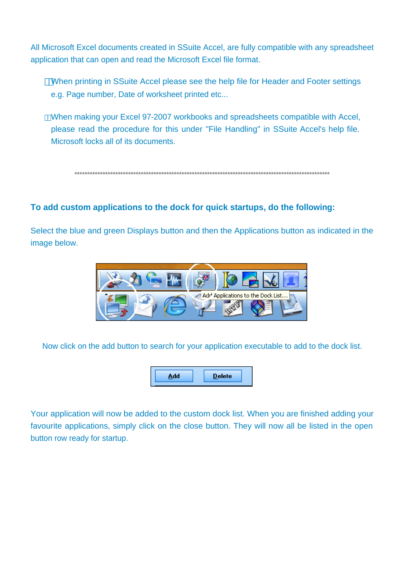All Microsoft Excel documents created in SSuite Accel, are fully compatible with any spreadsheet application that can open and read the Microsoft Excel file format.

When printing in SSuite Accel please see the help file for Header and Footer settings e.g. Page number. Date of worksheet printed etc...

When making your Excel 97-2007 workbooks and spreadsheets compatible with Accel. please read the procedure for this under "File Handling" in SSuite Accel's help file. Microsoft locks all of its documents.

#### To add custom applications to the dock for quick startups, do the following:

Select the blue and green Displays button and then the Applications button as indicated in the image below.



Now click on the add button to search for your application executable to add to the dock list.



Your application will now be added to the custom dock list. When you are finished adding your favourite applications, simply click on the close button. They will now all be listed in the open button row ready for startup.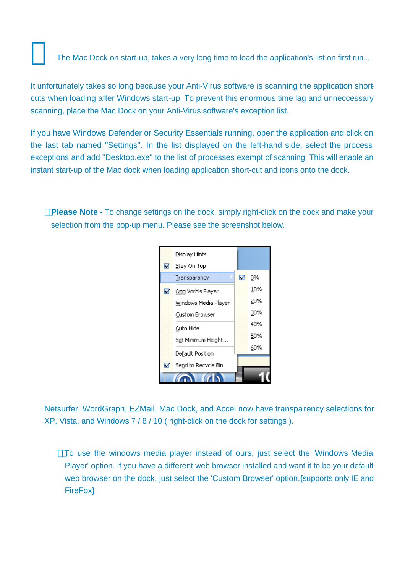The Mac Dock on start-up, takes a very long time to load the application's list on first run...

It unfortunately takes so long because your Anti-Virus software is scanning the application shortcuts when loading after Windows start-up. To prevent this enormous time lag and unneccessary scanning, place the Mac Dock on your Anti-Virus software's exception list.

If you have Windows Defender or Security Essentials running, open the application and click on the last tab named "Settings". In the list displayed on the left-hand side, select the process exceptions and add "Desktop.exe" to the list of processes exempt of scanning. This will enable an instant start-up of the Mac dock when loading application short-cut and icons onto the dock.

**Please Note -** To change settings on the dock, simply right-click on the dock and make your selection from the pop-up menu. Please see the screenshot below.



Netsurfer, WordGraph, EZMail, Mac Dock, and Accel now have transparency selections for XP, Vista, and Windows 7 / 8 / 10 ( right-click on the dock for settings ).

To use the windows media player instead of ours, just select the 'Windows Media Player' option. If you have a different web browser installed and want it to be your default web browser on the dock, just select the 'Custom Browser' option.{supports only IE and FireFox}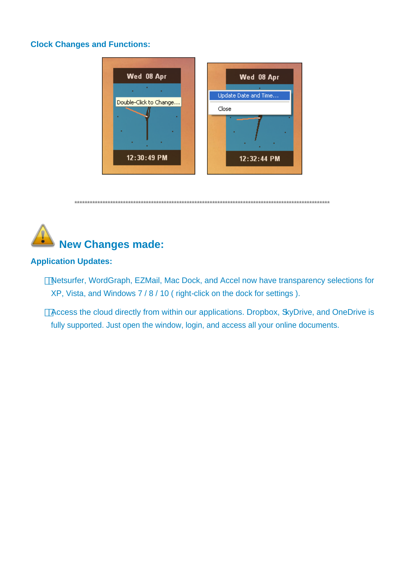#### **Clock Changes and Functions:**





#### **Application Updates:**

Netsurfer, WordGraph, EZMail, Mac Dock, and Accel now have transparency selections for XP, Vista, and Windows 7/8/10 (right-click on the dock for settings).

Access the cloud directly from within our applications. Dropbox, SkyDrive, and OneDrive is fully supported. Just open the window, login, and access all your online documents.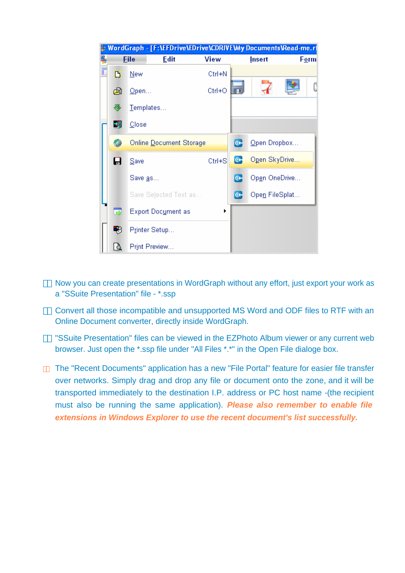

 Now you can create presentations in WordGraph without any effort, just export your work as a "SSuite Presentation" file - \*.ssp

 Convert all those incompatible and unsupported MS Word and ODF files to RTF with an Online Document converter, directly inside WordGraph.

 "SSuite Presentation" files can be viewed in the EZPhoto Album viewer or any current web browser. Just open the \*.ssp file under "All Files \*.\*" in the Open File dialoge box.

 The "Recent Documents" application has a new "File Portal" feature for easier file transfer over networks. Simply drag and drop any file or document onto the zone, and it will be transported immediately to the destination I.P. address or PC host name -(the recipient must also be running the same application). *Please also remember to enable file extensions in Windows Explorer to use the recent document's list successfully.*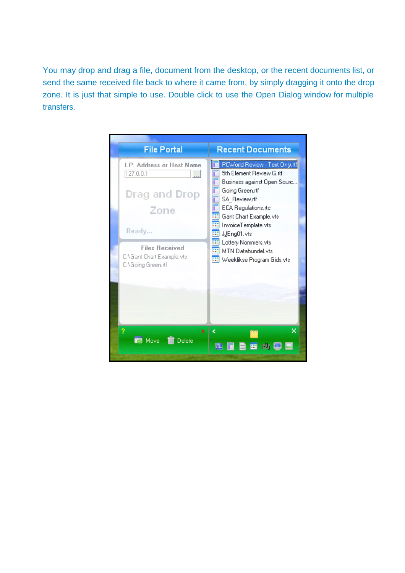You may drop and drag a file, document from the desktop, or the recent documents list, or send the same received file back to where it came from, by simply dragging it onto the drop zone. It is just that simple to use. Double click to use the Open Dialog window for multiple transfers.

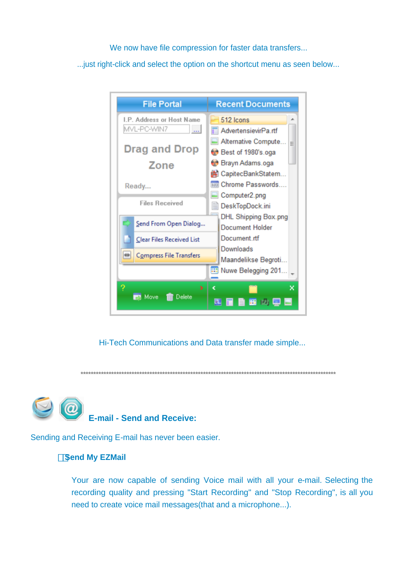We now have file compression for faster data transfers...

...just right-click and select the option on the shortcut menu as seen below...

| <b>File Portal</b>                                                                | <b>Recent Documents</b>                                                                                                           |
|-----------------------------------------------------------------------------------|-----------------------------------------------------------------------------------------------------------------------------------|
| L.P. Address or Host Name<br>MVL-PC-WIN7<br>--- 1<br><b>Drag and Drop</b><br>Zone | 512 Icons<br>∸<br>AdvertensievirPa.rtf<br>Alternative Compute.<br>Ξ<br>Best of 1980's.oga<br>Brayn Adams.oga<br>CapitecBankStatem |
| Ready<br><b>Files Received</b>                                                    | <b>EXI Chrome Passwords</b><br>Computer2.png<br>DeskTopDock.ini                                                                   |
| Send From Open Dialog                                                             | DHL Shipping Box.png<br>Document Holder                                                                                           |
| <b>Clear Files Received List</b>                                                  | Document rtf<br>Downloads                                                                                                         |
| ₩<br>Compress File Transfers                                                      | Maandelikse Begroti<br>Nuwe Belegging 201<br>æ                                                                                    |
| ?<br>У<br>Move<br>Delete                                                          | ¢<br>×<br>画<br>ø.<br>噩                                                                                                            |

Hi-Tech Communications and Data transfer made simple...

**\*\*\*\*\*\*\*\*\*\*\*\*\*\*\*\*\*\*\*\*\*\*\*\*\*\*\*\*\*\*\*\*\*\*\*\*\*\*\*\*\*\*\*\*\*\*\*\*\*\*\*\*\*\*\*\*\*\*\*\*\*\*\*\*\*\*\*\*\*\*\*\*\*\*\*\*\*\*\*\*\*\*\*\*\*\*\*\*\*\*\*\*\*\*\*\*\*\*\*\***



Sending and Receiving E-mail has never been easier.

#### **Send My EZMail**

Your are now capable of sending Voice mail with all your e-mail. Selecting the recording quality and pressing "Start Recording" and "Stop Recording", is all you need to create voice mail messages(that and a microphone...).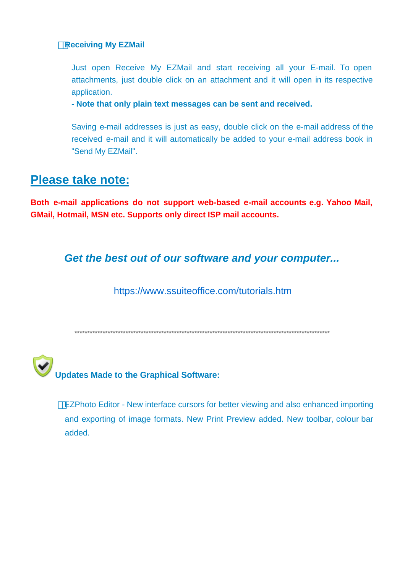#### **Receiving My EZMail**

Just open Receive My EZMail and start receiving all your E-mail. To open attachments, just double click on an attachment and it will open in its respective application.

- Note that only plain text messages can be sent and received.

Saving e-mail addresses is just as easy, double click on the e-mail address of the received e-mail and it will automatically be added to your e-mail address book in "Send My EZMail".

#### **Please take note:**

Both e-mail applications do not support web-based e-mail accounts e.g. Yahoo Mail, **GMail, Hotmail, MSN etc. Supports only direct ISP mail accounts.** 

#### Get the best out of our software and your computer...

https://www.ssuiteoffice.com/tutorials.htm



EZPhoto Editor - New interface cursors for better viewing and also enhanced importing and exporting of image formats. New Print Preview added. New toolbar, colour bar added.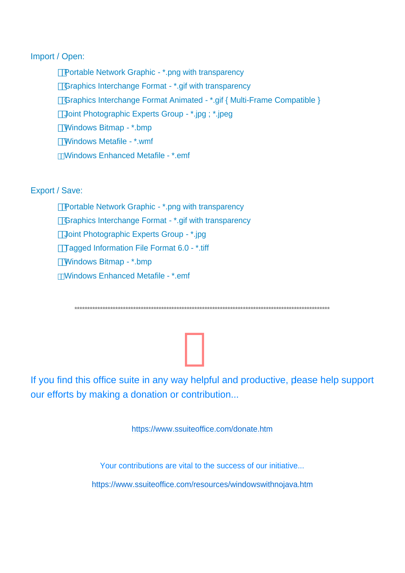#### Import / Open:

Portable Network Graphic - \*.png with transparency Graphics Interchange Format - \*.gif with transparency Graphics Interchange Format Animated - \*.gif { Multi-Frame Compatible } Joint Photographic Experts Group - \*.jpg ; \*.jpeg Windows Bitmap - \*.bmp Windows Metafile - \*.wmf Windows Enhanced Metafile - \* emf

#### Export / Save:

Portable Network Graphic - \*.png with transparency Graphics Interchange Format - \*.gif with transparency Joint Photographic Experts Group - \*.jpg Tagged Information File Format 6.0 - \*.tiff Windows Bitmap - \*.bmp Windows Enhanced Metafile - \*.emf

If you find this office suite in any way helpful and productive, please help support our efforts by making a donation or contribution...

https://www.ssuiteoffice.com/donate.htm

Your contributions are vital to the success of our initiative... https://www.ssuiteoffice.com/resources/windowswithnojava.htm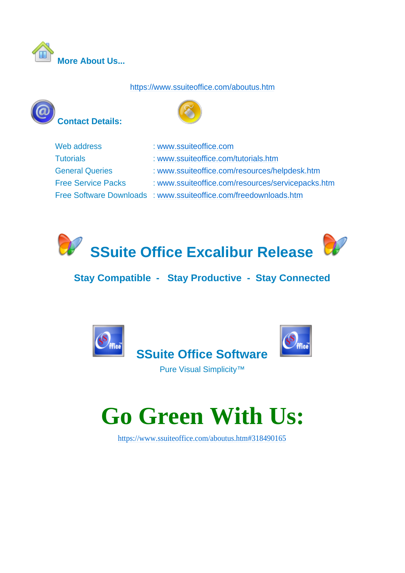

#### https://www.ssuiteoffice.com/aboutus.htm





| Web address               | : www.ssuiteoffice.com                                           |
|---------------------------|------------------------------------------------------------------|
| <b>Tutorials</b>          | : www.ssuiteoffice.com/tutorials.htm                             |
| <b>General Queries</b>    | : www.ssuiteoffice.com/resources/helpdesk.htm                    |
| <b>Free Service Packs</b> | : www.ssuiteoffice.com/resources/servicepacks.htm                |
|                           | Free Software Downloads : www.ssuiteoffice.com/freedownloads.htm |
|                           |                                                                  |



#### **Stay Compatible - Stay Productive - Stay Connected**



Pure Visual Simplicity™

## **Go Green With Us:**

https://www.ssuiteoffice.com/aboutus.htm#318490165